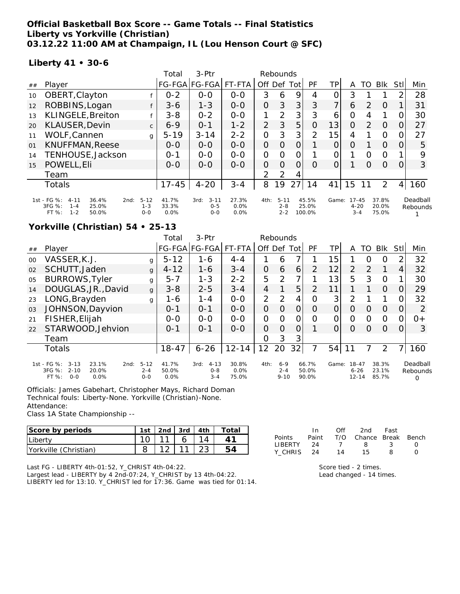#### **Official Basketball Box Score -- Game Totals -- Final Statistics Liberty vs Yorkville (Christian) 03.12.22 11:00 AM at Champaign, IL (Lou Henson Court @ SFC)**

#### **Liberty 41 • 30-6**

|    |                                                                                                                                     |              | Total                  | 3-Ptr                                  |                       | Rebounds       |                                |                |                          |                |                                  |          |                         |                |                      |
|----|-------------------------------------------------------------------------------------------------------------------------------------|--------------|------------------------|----------------------------------------|-----------------------|----------------|--------------------------------|----------------|--------------------------|----------------|----------------------------------|----------|-------------------------|----------------|----------------------|
| ## | Player                                                                                                                              |              |                        | FG-FGA FG-FGA                          | FT-FTA                | Off Def        |                                | Totl           | PF                       | TPI            | Α                                | TO       | <b>BIK</b>              | Stll           | Min                  |
| 10 | OBERT, Clayton                                                                                                                      |              | $0 - 2$                | $0 - 0$                                | $0 - 0$               | 3              | 6                              | 9              | 4                        | 0              | 3                                |          |                         | 2              | 28                   |
| 12 | ROBBINS, Logan                                                                                                                      | f            | $3 - 6$                | $1 - 3$                                | $0 - 0$               | 0              | 3                              | 3              | 3                        | $\overline{7}$ | 6                                | 2        | $\Omega$                |                | 31                   |
| 13 | KLINGELE, Breiton                                                                                                                   | $\mathbf{f}$ | $3 - 8$                | $0 - 2$                                | $0 - 0$               | 1              | 2                              | 3              | 3                        | 6              | 0                                | 4        | 1                       | 0              | 30                   |
| 20 | KLAUSER, Devin                                                                                                                      | $\mathsf{C}$ | $6 - 9$                | $O - 1$                                | $1 - 2$               | $\overline{2}$ | 3                              | 5              | $\Omega$                 | 13             | $\Omega$                         | 2        | $\Omega$                | 0              | 27                   |
| 11 | WOLF, Cannen                                                                                                                        | $\mathbf{q}$ | $5 - 19$               | $3 - 14$                               | $2 - 2$               | $\overline{O}$ | 3                              | 3              | $\overline{2}$           | 15             | 4                                |          | $\circ$                 | 0              | 27                   |
| 01 | <b>KNUFFMAN, Reese</b>                                                                                                              |              | $0 - 0$                | $0 - 0$                                | $O-O$                 | $\Omega$       | $\Omega$                       | $\overline{O}$ |                          | 0              | $\Omega$                         |          | $\Omega$                | 0              | 5                    |
| 14 | TENHOUSE, Jackson                                                                                                                   |              | $0 - 1$                | $0 - 0$                                | $0 - 0$               | $\overline{O}$ | $\Omega$                       | $\overline{O}$ |                          | 0              |                                  | O        | $\mathbf 0$             |                | 9                    |
| 15 | POWELL, Eli                                                                                                                         |              | $0 - 0$                | $O-O$                                  | $0 - 0$               | $\Omega$       | $\Omega$                       | $\overline{O}$ | $\Omega$                 | $\Omega$       |                                  | $\Omega$ | $\Omega$                | 0              | 3                    |
|    | Team                                                                                                                                |              |                        |                                        |                       | 2              | 2                              | 4              |                          |                |                                  |          |                         |                |                      |
|    | Totals                                                                                                                              |              | $17 - 45$              | $4 - 20$                               | $3 - 4$               | 8              | 19                             | 27             | 14                       | 41             | 15                               |          | 2                       | $\overline{4}$ | 160                  |
|    | 1st - FG %:<br>$5 - 12$<br>36.4%<br>$4 - 11$<br>2nd:<br>3FG %:<br>$1 - 3$<br>25.0%<br>$1 - 4$<br>$1 - 2$<br>FT%<br>50.0%<br>$0 - 0$ |              | 41.7%<br>33.3%<br>0.0% | $3 - 11$<br>3rd:<br>$0 - 5$<br>$0 - 0$ | 27.3%<br>0.0%<br>0.0% | 4th:           | $5 - 11$<br>$2 - 8$<br>$2 - 2$ |                | 45.5%<br>25.0%<br>100.0% | Game:          | $17 - 45$<br>$4 - 20$<br>$3 - 4$ |          | 37.8%<br>20.0%<br>75.0% |                | Deadball<br>Rebounds |

### **Yorkville (Christian) 54 • 25-13**

|                |                                                                                                     |                                | Total                  | $3-Ptr$                                | Rebounds                  |                |                                |                |                         |                   |                                    |          |                         |          |                                  |
|----------------|-----------------------------------------------------------------------------------------------------|--------------------------------|------------------------|----------------------------------------|---------------------------|----------------|--------------------------------|----------------|-------------------------|-------------------|------------------------------------|----------|-------------------------|----------|----------------------------------|
| ##             | Player                                                                                              |                                |                        | FG-FGA FG-FGA  FT-FTA                  |                           | Off            | Def                            | Totl           | PF                      | ΤP                | A                                  | TO       | <b>Blk</b>              | Stl      | Min                              |
| $00 \,$        | VASSER, K.J.                                                                                        | g                              | $5 - 12$               | 1-6                                    | $4 - 4$                   |                | 6                              | 7              |                         | 15                |                                    | $\Omega$ | $\Omega$                |          | 32                               |
| 02             | SCHUTT, Jaden                                                                                       | $\mathbf{q}$                   | $4 - 12$               | 1-6                                    | $3 - 4$                   | 0              | 6                              | 6              | 2                       | 12                | $\overline{2}$                     | 2        |                         | 4        | 32                               |
| 0 <sub>5</sub> | <b>BURROWS, Tyler</b>                                                                               | g                              | $5 - 7$                | $1 - 3$                                | $2 - 2$                   | 5              | 2                              | $\overline{7}$ |                         | 13                | 5                                  | 3        | $\Omega$                |          | 30                               |
| 14             | DOUGLAS, JR., David                                                                                 | $\mathbf{q}$                   | $3 - 8$                | $2 - 5$                                | $3 - 4$                   | 4              |                                | 5              | 2                       | 11                |                                    |          | $\Omega$                |          | 29                               |
| 23             | LONG, Brayden                                                                                       | g                              | $1 - 6$                | $1 - 4$                                | $0 - 0$                   | $\overline{2}$ | 2                              | 4              | Ω                       | $\lvert 3 \rvert$ | $\overline{2}$                     |          |                         |          | 32                               |
| 03             | JOHNSON, Dayvion                                                                                    |                                | $O - 1$                | $0 - 1$                                | $0 - 0$                   | 0              | $\Omega$                       | $\Omega$       | Ω                       | 0                 | $\Omega$                           | $\Omega$ | $\Omega$                | 0        | 2                                |
| 21             | FISHER, Elijah                                                                                      |                                | $0 - 0$                | $0 - 0$                                | $0 - 0$                   | 0              | $\Omega$                       | 0              | Ω                       | 0                 | 0                                  | $\Omega$ | $\Omega$                | O        | $O +$                            |
| 22             | STARWOOD, Jehvion                                                                                   |                                | $O - 1$                | $0 - 1$                                | $0 - 0$                   | 0              | $\Omega$                       | $\Omega$       |                         | $\Omega$          | $\Omega$                           | $\Omega$ | $\Omega$                | $\Omega$ | 3                                |
|                | Team                                                                                                |                                |                        |                                        |                           | 0              | 3                              | 3              |                         |                   |                                    |          |                         |          |                                  |
|                | Totals                                                                                              |                                | $18 - 47$              | $6 - 26$                               | $12 - 14$                 | 12             | 20                             | 32             |                         | 54                | 11                                 |          | 2                       |          | 160                              |
|                | 1st - FG %:<br>$3 - 13$<br>23.1%<br>2nd:<br>3FG %:<br>$2 - 10$<br>20.0%<br>$O - O$<br>FT %:<br>0.0% | $5 - 12$<br>$2 - 4$<br>$0 - 0$ | 41.7%<br>50.0%<br>0.0% | $4 - 13$<br>3rd:<br>$0 - 8$<br>$3 - 4$ | 30.8%<br>$0.0\%$<br>75.0% | 4th:           | $6 - 9$<br>$2 - 4$<br>$9 - 10$ |                | 66.7%<br>50.0%<br>90.0% | Game:             | $18 - 47$<br>$6 - 26$<br>$12 - 14$ |          | 38.3%<br>23.1%<br>85.7% |          | Deadball<br>Rebounds<br>$\Omega$ |

Officials: James Gabehart, Christopher Mays, Richard Doman Technical fouls: Liberty-None. Yorkville (Christian)-None. Attendance:

Class 1A State Championship --

| Score by periods      | 1st i |    | $\lfloor 2nd \rfloor$ 3rd $\lfloor 4th \rfloor$ | Total |
|-----------------------|-------|----|-------------------------------------------------|-------|
| Liberty               |       | 11 |                                                 |       |
| Yorkville (Christian) |       |    |                                                 | 54    |

Largest lead - LIBERTY by 4 2nd-07:24, Y\_CHRIST by 13 4th-04:22. LIBERTY led for 13:10. Y\_CHRIST led for 17:36. Game was tied for 01:14.

|                | In.   | ∩ff | 2nd                    | Fast |  |
|----------------|-------|-----|------------------------|------|--|
| Points         | Paint |     | T/O Chance Break Bench |      |  |
| <b>LIBERTY</b> | -24   |     | 8.                     | ્ર   |  |
| Y CHRIS        | - 24  | 14  | 15.                    | я    |  |

Score tied - 2 times.

Lead changed - 14 times.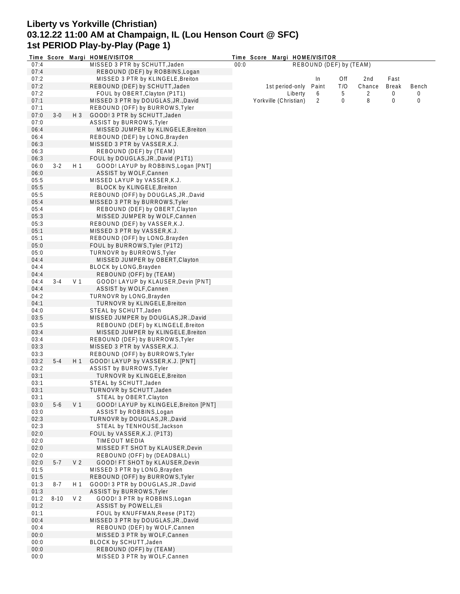## **Liberty vs Yorkville (Christian) 03.12.22 11:00 AM at Champaign, IL (Lou Henson Court @ SFC) 1st PERIOD Play-by-Play (Page 1)**

|      |          |                | Time Score Margi HOME/VISITOR          | Time Score Margi HOME/VISITOR |                       |         |                         |     |        |              |       |  |
|------|----------|----------------|----------------------------------------|-------------------------------|-----------------------|---------|-------------------------|-----|--------|--------------|-------|--|
| 07:4 |          |                | MISSED 3 PTR by SCHUTT, Jaden          | 00:0                          |                       |         | REBOUND (DEF) by (TEAM) |     |        |              |       |  |
| 07:4 |          |                | REBOUND (DEF) by ROBBINS, Logan        |                               |                       |         |                         |     |        |              |       |  |
| 07:2 |          |                | MISSED 3 PTR by KLINGELE, Breiton      |                               |                       |         | In                      | Off | 2nd    | Fast         |       |  |
| 07:2 |          |                | REBOUND (DEF) by SCHUTT, Jaden         |                               | 1st period-only       |         | Paint                   | T/O | Chance | <b>Break</b> | Bench |  |
| 07:2 |          |                | FOUL by OBERT, Clayton (P1T1)          |                               |                       | Liberty | 6                       | 5   | 2      | 0            | 0     |  |
| 07:1 |          |                | MISSED 3 PTR by DOUGLAS, JR., David    |                               | Yorkville (Christian) |         | 2                       | 0   | 8      | 0            | 0     |  |
| 07:1 |          |                | REBOUND (OFF) by BURROWS, Tyler        |                               |                       |         |                         |     |        |              |       |  |
| 07:0 | $3-0$    | $H_3$          | GOOD! 3 PTR by SCHUTT, Jaden           |                               |                       |         |                         |     |        |              |       |  |
| 07:0 |          |                | ASSIST by BURROWS, Tyler               |                               |                       |         |                         |     |        |              |       |  |
|      |          |                |                                        |                               |                       |         |                         |     |        |              |       |  |
| 06:4 |          |                | MISSED JUMPER by KLINGELE, Breiton     |                               |                       |         |                         |     |        |              |       |  |
| 06:4 |          |                | REBOUND (DEF) by LONG, Brayden         |                               |                       |         |                         |     |        |              |       |  |
| 06:3 |          |                | MISSED 3 PTR by VASSER, K.J.           |                               |                       |         |                         |     |        |              |       |  |
| 06:3 |          |                | REBOUND (DEF) by (TEAM)                |                               |                       |         |                         |     |        |              |       |  |
| 06:3 |          |                | FOUL by DOUGLAS, JR., David (P1T1)     |                               |                       |         |                         |     |        |              |       |  |
| 06:0 | $3-2$    | H 1            | GOOD! LAYUP by ROBBINS, Logan [PNT]    |                               |                       |         |                         |     |        |              |       |  |
| 06:0 |          |                | ASSIST by WOLF, Cannen                 |                               |                       |         |                         |     |        |              |       |  |
| 05:5 |          |                | MISSED LAYUP by VASSER, K.J.           |                               |                       |         |                         |     |        |              |       |  |
| 05:5 |          |                | <b>BLOCK by KLINGELE, Breiton</b>      |                               |                       |         |                         |     |        |              |       |  |
| 05:5 |          |                | REBOUND (OFF) by DOUGLAS, JR., David   |                               |                       |         |                         |     |        |              |       |  |
| 05:4 |          |                | MISSED 3 PTR by BURROWS, Tyler         |                               |                       |         |                         |     |        |              |       |  |
| 05:4 |          |                | REBOUND (DEF) by OBERT, Clayton        |                               |                       |         |                         |     |        |              |       |  |
| 05:3 |          |                | MISSED JUMPER by WOLF, Cannen          |                               |                       |         |                         |     |        |              |       |  |
| 05:3 |          |                |                                        |                               |                       |         |                         |     |        |              |       |  |
|      |          |                | REBOUND (DEF) by VASSER, K.J.          |                               |                       |         |                         |     |        |              |       |  |
| 05:1 |          |                | MISSED 3 PTR by VASSER, K.J.           |                               |                       |         |                         |     |        |              |       |  |
| 05:1 |          |                | REBOUND (OFF) by LONG, Brayden         |                               |                       |         |                         |     |        |              |       |  |
| 05:0 |          |                | FOUL by BURROWS, Tyler (P1T2)          |                               |                       |         |                         |     |        |              |       |  |
| 05:0 |          |                | <b>TURNOVR by BURROWS, Tyler</b>       |                               |                       |         |                         |     |        |              |       |  |
| 04:4 |          |                | MISSED JUMPER by OBERT, Clayton        |                               |                       |         |                         |     |        |              |       |  |
| 04:4 |          |                | BLOCK by LONG, Brayden                 |                               |                       |         |                         |     |        |              |       |  |
| 04:4 |          |                | REBOUND (OFF) by (TEAM)                |                               |                       |         |                         |     |        |              |       |  |
| 04:4 | $3 - 4$  | V <sub>1</sub> | GOOD! LAYUP by KLAUSER, Devin [PNT]    |                               |                       |         |                         |     |        |              |       |  |
| 04:4 |          |                | ASSIST by WOLF, Cannen                 |                               |                       |         |                         |     |        |              |       |  |
| 04:2 |          |                | TURNOVR by LONG, Brayden               |                               |                       |         |                         |     |        |              |       |  |
| 04:1 |          |                | TURNOVR by KLINGELE, Breiton           |                               |                       |         |                         |     |        |              |       |  |
| 04:0 |          |                | STEAL by SCHUTT, Jaden                 |                               |                       |         |                         |     |        |              |       |  |
| 03:5 |          |                |                                        |                               |                       |         |                         |     |        |              |       |  |
|      |          |                | MISSED JUMPER by DOUGLAS, JR., David   |                               |                       |         |                         |     |        |              |       |  |
| 03:5 |          |                | REBOUND (DEF) by KLINGELE, Breiton     |                               |                       |         |                         |     |        |              |       |  |
| 03:4 |          |                | MISSED JUMPER by KLINGELE, Breiton     |                               |                       |         |                         |     |        |              |       |  |
| 03:4 |          |                | REBOUND (DEF) by BURROWS, Tyler        |                               |                       |         |                         |     |        |              |       |  |
| 03:3 |          |                | MISSED 3 PTR by VASSER, K.J.           |                               |                       |         |                         |     |        |              |       |  |
| 03:3 |          |                | REBOUND (OFF) by BURROWS, Tyler        |                               |                       |         |                         |     |        |              |       |  |
| 03:2 | $5 - 4$  | H 1            | GOOD! LAYUP by VASSER, K.J. [PNT]      |                               |                       |         |                         |     |        |              |       |  |
| 03:2 |          |                | <b>ASSIST by BURROWS, Tyler</b>        |                               |                       |         |                         |     |        |              |       |  |
| 03:1 |          |                | TURNOVR by KLINGELE, Breiton           |                               |                       |         |                         |     |        |              |       |  |
| 03:1 |          |                | STEAL by SCHUTT, Jaden                 |                               |                       |         |                         |     |        |              |       |  |
| 03:1 |          |                | TURNOVR by SCHUTT, Jaden               |                               |                       |         |                         |     |        |              |       |  |
| 03:1 |          |                | STEAL by OBERT, Clayton                |                               |                       |         |                         |     |        |              |       |  |
| 03:0 | $5-6$    | V <sub>1</sub> | GOOD! LAYUP by KLINGELE, Breiton [PNT] |                               |                       |         |                         |     |        |              |       |  |
| 03:0 |          |                | ASSIST by ROBBINS, Logan               |                               |                       |         |                         |     |        |              |       |  |
| 02:3 |          |                | TURNOVR by DOUGLAS, JR., David         |                               |                       |         |                         |     |        |              |       |  |
| 02:3 |          |                | STEAL by TENHOUSE, Jackson             |                               |                       |         |                         |     |        |              |       |  |
| 02:0 |          |                | FOUL by VASSER, K.J. (P1T3)            |                               |                       |         |                         |     |        |              |       |  |
| 02:0 |          |                | TIMEOUT MEDIA                          |                               |                       |         |                         |     |        |              |       |  |
|      |          |                |                                        |                               |                       |         |                         |     |        |              |       |  |
| 02:0 |          |                | MISSED FT SHOT by KLAUSER, Devin       |                               |                       |         |                         |     |        |              |       |  |
| 02:0 |          |                | REBOUND (OFF) by (DEADBALL)            |                               |                       |         |                         |     |        |              |       |  |
| 02:0 | $5 - 7$  | V <sub>2</sub> | GOOD! FT SHOT by KLAUSER, Devin        |                               |                       |         |                         |     |        |              |       |  |
| 01:5 |          |                | MISSED 3 PTR by LONG, Brayden          |                               |                       |         |                         |     |        |              |       |  |
| 01:5 |          |                | REBOUND (OFF) by BURROWS, Tyler        |                               |                       |         |                         |     |        |              |       |  |
| 01:3 | 8-7      | H 1            | GOOD! 3 PTR by DOUGLAS, JR., David     |                               |                       |         |                         |     |        |              |       |  |
| 01:3 |          |                | <b>ASSIST by BURROWS, Tyler</b>        |                               |                       |         |                         |     |        |              |       |  |
| 01:2 | $8 - 10$ | V <sub>2</sub> | GOOD! 3 PTR by ROBBINS, Logan          |                               |                       |         |                         |     |        |              |       |  |
| 01:2 |          |                | <b>ASSIST by POWELL, Eli</b>           |                               |                       |         |                         |     |        |              |       |  |
| 01:1 |          |                | FOUL by KNUFFMAN, Reese (P1T2)         |                               |                       |         |                         |     |        |              |       |  |
| 00:4 |          |                | MISSED 3 PTR by DOUGLAS, JR., David    |                               |                       |         |                         |     |        |              |       |  |
| 00:4 |          |                | REBOUND (DEF) by WOLF, Cannen          |                               |                       |         |                         |     |        |              |       |  |
| 00:0 |          |                | MISSED 3 PTR by WOLF, Cannen           |                               |                       |         |                         |     |        |              |       |  |
| 00:0 |          |                | BLOCK by SCHUTT, Jaden                 |                               |                       |         |                         |     |        |              |       |  |
| 00:0 |          |                | REBOUND (OFF) by (TEAM)                |                               |                       |         |                         |     |        |              |       |  |
| 00:0 |          |                | MISSED 3 PTR by WOLF, Cannen           |                               |                       |         |                         |     |        |              |       |  |
|      |          |                |                                        |                               |                       |         |                         |     |        |              |       |  |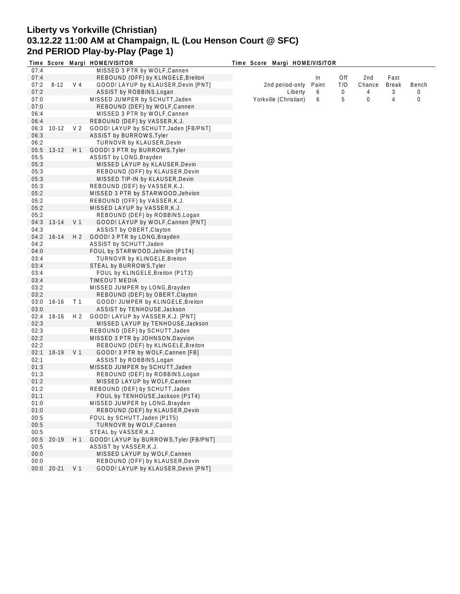# **Liberty vs Yorkville (Christian) 03.12.22 11:00 AM at Champaign, IL (Lou Henson Court @ SFC) 2nd PERIOD Play-by-Play (Page 1)**

|      |            |                | Time Score Margi HOME/VISITOR          | Time Score Margi HOME/VISITOR |       |     |             |              |       |
|------|------------|----------------|----------------------------------------|-------------------------------|-------|-----|-------------|--------------|-------|
| 07:4 |            |                | MISSED 3 PTR by WOLF, Cannen           |                               |       |     |             |              |       |
| 07:4 |            |                | REBOUND (OFF) by KLINGELE, Breiton     |                               | In    | Off | 2nd         | Fast         |       |
| 07:2 | $8 - 12$   | V 4            | GOOD! LAYUP by KLAUSER, Devin [PNT]    | 2nd period-only               | Paint | T/O | Chance      | <b>Break</b> | Bench |
| 07:2 |            |                | ASSIST by ROBBINS, Logan               | Liberty                       | 6     | 0   | 4           | 3            | 0     |
| 07:0 |            |                | MISSED JUMPER by SCHUTT, Jaden         | Yorkville (Christian)         | 6     | 5   | $\mathbf 0$ | 4            | 0     |
| 07:0 |            |                | REBOUND (DEF) by WOLF, Cannen          |                               |       |     |             |              |       |
| 06:4 |            |                | MISSED 3 PTR by WOLF, Cannen           |                               |       |     |             |              |       |
| 06:4 |            |                | REBOUND (DEF) by VASSER, K.J.          |                               |       |     |             |              |       |
| 06:3 | $10-12$    | V <sub>2</sub> | GOOD! LAYUP by SCHUTT, Jaden [FB/PNT]  |                               |       |     |             |              |       |
| 06:3 |            |                | ASSIST by BURROWS, Tyler               |                               |       |     |             |              |       |
| 06:2 |            |                | TURNOVR by KLAUSER, Devin              |                               |       |     |             |              |       |
|      | 05:5 13-12 | H 1            | GOOD! 3 PTR by BURROWS, Tyler          |                               |       |     |             |              |       |
| 05:5 |            |                | ASSIST by LONG, Brayden                |                               |       |     |             |              |       |
|      |            |                |                                        |                               |       |     |             |              |       |
| 05:3 |            |                | MISSED LAYUP by KLAUSER, Devin         |                               |       |     |             |              |       |
| 05:3 |            |                | REBOUND (OFF) by KLAUSER, Devin        |                               |       |     |             |              |       |
| 05:3 |            |                | MISSED TIP-IN by KLAUSER, Devin        |                               |       |     |             |              |       |
| 05:3 |            |                | REBOUND (DEF) by VASSER, K.J.          |                               |       |     |             |              |       |
| 05:2 |            |                | MISSED 3 PTR by STARWOOD, Jehvion      |                               |       |     |             |              |       |
| 05:2 |            |                | REBOUND (OFF) by VASSER, K.J.          |                               |       |     |             |              |       |
| 05:2 |            |                | MISSED LAYUP by VASSER, K.J.           |                               |       |     |             |              |       |
| 05:2 |            |                | REBOUND (DEF) by ROBBINS, Logan        |                               |       |     |             |              |       |
|      | 04:3 13-14 | V 1            | GOOD! LAYUP by WOLF, Cannen [PNT]      |                               |       |     |             |              |       |
| 04:3 |            |                | ASSIST by OBERT, Clayton               |                               |       |     |             |              |       |
| 04:2 | $16 - 14$  | H 2            | GOOD! 3 PTR by LONG, Brayden           |                               |       |     |             |              |       |
| 04:2 |            |                | ASSIST by SCHUTT, Jaden                |                               |       |     |             |              |       |
| 04:0 |            |                | FOUL by STARWOOD, Jehvion (P1T4)       |                               |       |     |             |              |       |
| 03:4 |            |                | TURNOVR by KLINGELE, Breiton           |                               |       |     |             |              |       |
| 03:4 |            |                | STEAL by BURROWS, Tyler                |                               |       |     |             |              |       |
| 03:4 |            |                | FOUL by KLINGELE, Breiton (P1T3)       |                               |       |     |             |              |       |
| 03:4 |            |                | <b>TIMEOUT MEDIA</b>                   |                               |       |     |             |              |       |
| 03:2 |            |                | MISSED JUMPER by LONG, Brayden         |                               |       |     |             |              |       |
| 03:2 |            |                | REBOUND (DEF) by OBERT, Clayton        |                               |       |     |             |              |       |
| 03:0 | $16 - 16$  | T <sub>1</sub> | GOOD! JUMPER by KLINGELE, Breiton      |                               |       |     |             |              |       |
| 03:0 |            |                | ASSIST by TENHOUSE, Jackson            |                               |       |     |             |              |       |
| 02:4 | 18-16      | H 2            | GOOD! LAYUP by VASSER, K.J. [PNT]      |                               |       |     |             |              |       |
| 02:3 |            |                |                                        |                               |       |     |             |              |       |
| 02:3 |            |                | MISSED LAYUP by TENHOUSE, Jackson      |                               |       |     |             |              |       |
|      |            |                | REBOUND (DEF) by SCHUTT, Jaden         |                               |       |     |             |              |       |
| 02:2 |            |                | MISSED 3 PTR by JOHNSON, Dayvion       |                               |       |     |             |              |       |
| 02:2 |            |                | REBOUND (DEF) by KLINGELE, Breiton     |                               |       |     |             |              |       |
| 02:1 | 18-19 V 1  |                | GOOD! 3 PTR by WOLF, Cannen [FB]       |                               |       |     |             |              |       |
| 02:1 |            |                | ASSIST by ROBBINS, Logan               |                               |       |     |             |              |       |
| 01:3 |            |                | MISSED JUMPER by SCHUTT, Jaden         |                               |       |     |             |              |       |
| 01:3 |            |                | REBOUND (DEF) by ROBBINS, Logan        |                               |       |     |             |              |       |
| 01:2 |            |                | MISSED LAYUP by WOLF, Cannen           |                               |       |     |             |              |       |
| 01:2 |            |                | REBOUND (DEF) by SCHUTT, Jaden         |                               |       |     |             |              |       |
| 01:1 |            |                | FOUL by TENHOUSE, Jackson (P1T4)       |                               |       |     |             |              |       |
| 01:0 |            |                | MISSED JUMPER by LONG, Brayden         |                               |       |     |             |              |       |
| 01:0 |            |                | REBOUND (DEF) by KLAUSER, Devin        |                               |       |     |             |              |       |
| 00:5 |            |                | FOUL by SCHUTT, Jaden (P1T5)           |                               |       |     |             |              |       |
| 00:5 |            |                | TURNOVR by WOLF, Cannen                |                               |       |     |             |              |       |
| 00:5 |            |                | STEAL by VASSER, K.J.                  |                               |       |     |             |              |       |
| 00:5 | 20-19      | H 1            | GOOD! LAYUP by BURROWS, Tyler [FB/PNT] |                               |       |     |             |              |       |
| 00:5 |            |                | ASSIST by VASSER, K.J.                 |                               |       |     |             |              |       |
| 00:0 |            |                | MISSED LAYUP by WOLF, Cannen           |                               |       |     |             |              |       |
| 00:0 |            |                | REBOUND (OFF) by KLAUSER, Devin        |                               |       |     |             |              |       |
|      | 00:0 20-21 | V <sub>1</sub> | GOOD! LAYUP by KLAUSER, Devin [PNT]    |                               |       |     |             |              |       |
|      |            |                |                                        |                               |       |     |             |              |       |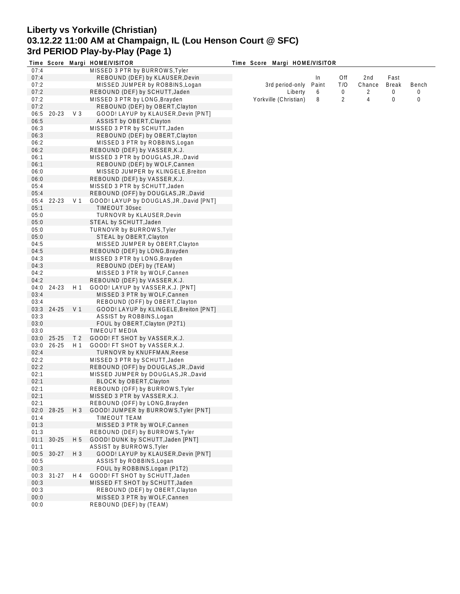## **Liberty vs Yorkville (Christian) 03.12.22 11:00 AM at Champaign, IL (Lou Henson Court @ SFC) 3rd PERIOD Play-by-Play (Page 1)**

|      |            |                | Time Score Margi HOME/VISITOR            | Time Score Margi HOME/VISITOR |       |     |        |              |       |
|------|------------|----------------|------------------------------------------|-------------------------------|-------|-----|--------|--------------|-------|
| 07:4 |            |                | MISSED 3 PTR by BURROWS, Tyler           |                               |       |     |        |              |       |
| 07:4 |            |                | REBOUND (DEF) by KLAUSER, Devin          |                               | In    | Off | 2nd    | Fast         |       |
| 07:2 |            |                | MISSED JUMPER by ROBBINS, Logan          | 3rd period-only               | Paint | T/O | Chance | <b>Break</b> | Bench |
| 07:2 |            |                | REBOUND (DEF) by SCHUTT, Jaden           | Liberty                       | 6     | 0   | 2      | 0            | 0     |
| 07:2 |            |                | MISSED 3 PTR by LONG, Brayden            | Yorkville (Christian)         | 8     | 2   | 4      | 0            | 0     |
| 07:2 |            |                | REBOUND (DEF) by OBERT, Clayton          |                               |       |     |        |              |       |
| 06:5 | $20 - 23$  | $V_3$          | GOOD! LAYUP by KLAUSER, Devin [PNT]      |                               |       |     |        |              |       |
| 06:5 |            |                | ASSIST by OBERT, Clayton                 |                               |       |     |        |              |       |
| 06:3 |            |                | MISSED 3 PTR by SCHUTT, Jaden            |                               |       |     |        |              |       |
| 06:3 |            |                | REBOUND (DEF) by OBERT, Clayton          |                               |       |     |        |              |       |
| 06:2 |            |                | MISSED 3 PTR by ROBBINS, Logan           |                               |       |     |        |              |       |
| 06:2 |            |                | REBOUND (DEF) by VASSER, K.J.            |                               |       |     |        |              |       |
| 06:1 |            |                | MISSED 3 PTR by DOUGLAS, JR., David      |                               |       |     |        |              |       |
| 06:1 |            |                | REBOUND (DEF) by WOLF, Cannen            |                               |       |     |        |              |       |
| 06:0 |            |                | MISSED JUMPER by KLINGELE, Breiton       |                               |       |     |        |              |       |
|      |            |                |                                          |                               |       |     |        |              |       |
| 06:0 |            |                | REBOUND (DEF) by VASSER, K.J.            |                               |       |     |        |              |       |
| 05:4 |            |                | MISSED 3 PTR by SCHUTT, Jaden            |                               |       |     |        |              |       |
| 05:4 |            |                | REBOUND (OFF) by DOUGLAS, JR., David     |                               |       |     |        |              |       |
| 05:4 | 22-23      | V <sub>1</sub> | GOOD! LAYUP by DOUGLAS, JR., David [PNT] |                               |       |     |        |              |       |
| 05:1 |            |                | <b>TIMEOUT 30sec</b>                     |                               |       |     |        |              |       |
| 05:0 |            |                | TURNOVR by KLAUSER, Devin                |                               |       |     |        |              |       |
| 05:0 |            |                | STEAL by SCHUTT, Jaden                   |                               |       |     |        |              |       |
| 05:0 |            |                | <b>TURNOVR by BURROWS, Tyler</b>         |                               |       |     |        |              |       |
| 05:0 |            |                | STEAL by OBERT, Clayton                  |                               |       |     |        |              |       |
| 04:5 |            |                | MISSED JUMPER by OBERT, Clayton          |                               |       |     |        |              |       |
| 04:5 |            |                | REBOUND (DEF) by LONG, Brayden           |                               |       |     |        |              |       |
| 04:3 |            |                | MISSED 3 PTR by LONG, Brayden            |                               |       |     |        |              |       |
| 04:3 |            |                | REBOUND (DEF) by (TEAM)                  |                               |       |     |        |              |       |
| 04:2 |            |                | MISSED 3 PTR by WOLF, Cannen             |                               |       |     |        |              |       |
| 04:2 |            |                | REBOUND (DEF) by VASSER, K.J.            |                               |       |     |        |              |       |
| 04:0 | 24-23      | H1             | GOOD! LAYUP by VASSER, K.J. [PNT]        |                               |       |     |        |              |       |
| 03:4 |            |                | MISSED 3 PTR by WOLF, Cannen             |                               |       |     |        |              |       |
| 03:4 |            |                | REBOUND (OFF) by OBERT, Clayton          |                               |       |     |        |              |       |
|      | 03:3 24-25 | V <sub>1</sub> | GOOD! LAYUP by KLINGELE, Breiton [PNT]   |                               |       |     |        |              |       |
| 03:3 |            |                | ASSIST by ROBBINS, Logan                 |                               |       |     |        |              |       |
| 03:0 |            |                | FOUL by OBERT, Clayton (P2T1)            |                               |       |     |        |              |       |
| 03:0 |            |                | TIMEOUT MEDIA                            |                               |       |     |        |              |       |
| 03:0 | 25-25      | T <sub>2</sub> | GOOD! FT SHOT by VASSER, K.J.            |                               |       |     |        |              |       |
| 03:0 | $26 - 25$  | H 1            | GOOD! FT SHOT by VASSER, K.J.            |                               |       |     |        |              |       |
| 02:4 |            |                | <b>TURNOVR by KNUFFMAN, Reese</b>        |                               |       |     |        |              |       |
| 02:2 |            |                | MISSED 3 PTR by SCHUTT, Jaden            |                               |       |     |        |              |       |
| 02:2 |            |                | REBOUND (OFF) by DOUGLAS, JR., David     |                               |       |     |        |              |       |
| 02:1 |            |                | MISSED JUMPER by DOUGLAS, JR., David     |                               |       |     |        |              |       |
| 02:1 |            |                | BLOCK by OBERT, Clayton                  |                               |       |     |        |              |       |
| 02:1 |            |                | REBOUND (OFF) by BURROWS, Tyler          |                               |       |     |        |              |       |
| 02:1 |            |                | MISSED 3 PTR by VASSER, K.J.             |                               |       |     |        |              |       |
| 02:1 |            |                | REBOUND (OFF) by LONG, Brayden           |                               |       |     |        |              |       |
|      | 02:0 28-25 | $H_3$          | GOOD! JUMPER by BURROWS, Tyler [PNT]     |                               |       |     |        |              |       |
| 01:4 |            |                | TIMEOUT TEAM                             |                               |       |     |        |              |       |
| 01:3 |            |                | MISSED 3 PTR by WOLF, Cannen             |                               |       |     |        |              |       |
| 01:3 |            |                | REBOUND (DEF) by BURROWS, Tyler          |                               |       |     |        |              |       |
| 01:1 | $30 - 25$  | H 5            | GOOD! DUNK by SCHUTT, Jaden [PNT]        |                               |       |     |        |              |       |
| 01:1 |            |                | <b>ASSIST by BURROWS, Tyler</b>          |                               |       |     |        |              |       |
| 00:5 | $30 - 27$  | $H_3$          | GOOD! LAYUP by KLAUSER, Devin [PNT]      |                               |       |     |        |              |       |
| 00:5 |            |                | ASSIST by ROBBINS, Logan                 |                               |       |     |        |              |       |
| 00:3 |            |                | FOUL by ROBBINS, Logan (P1T2)            |                               |       |     |        |              |       |
|      |            |                | GOOD! FT SHOT by SCHUTT, Jaden           |                               |       |     |        |              |       |
| 00:3 | $31 - 27$  | H 4            |                                          |                               |       |     |        |              |       |
| 00:3 |            |                | MISSED FT SHOT by SCHUTT, Jaden          |                               |       |     |        |              |       |
| 00:3 |            |                | REBOUND (DEF) by OBERT, Clayton          |                               |       |     |        |              |       |
| 00:0 |            |                | MISSED 3 PTR by WOLF, Cannen             |                               |       |     |        |              |       |
| 00:0 |            |                | REBOUND (DEF) by (TEAM)                  |                               |       |     |        |              |       |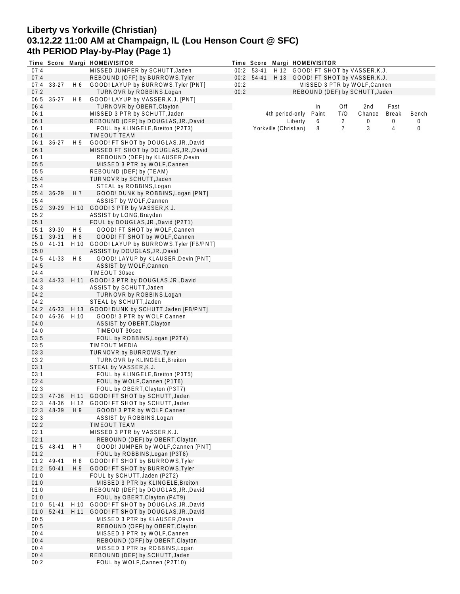# **Liberty vs Yorkville (Christian) 03.12.22 11:00 AM at Champaign, IL (Lou Henson Court @ SFC) 4th PERIOD Play-by-Play (Page 1)**

|              |            |      | Time Score Margi HOME/VISITOR                                                 |      |            |                       |         | Time Score Margi HOME/VISITOR |     |                                    |                |       |
|--------------|------------|------|-------------------------------------------------------------------------------|------|------------|-----------------------|---------|-------------------------------|-----|------------------------------------|----------------|-------|
| 07:4         |            |      | MISSED JUMPER by SCHUTT, Jaden                                                |      | 00:2 53-41 |                       |         |                               |     | H 12 GOOD! FT SHOT by VASSER, K.J. |                |       |
| 07:4         |            |      | REBOUND (OFF) by BURROWS, Tyler                                               |      | 00:2 54-41 |                       |         |                               |     | H 13 GOOD! FT SHOT by VASSER, K.J. |                |       |
| 07:4         | $33-27$    | H 6  | GOOD! LAYUP by BURROWS, Tyler [PNT]                                           | 00:2 |            |                       |         |                               |     | MISSED 3 PTR by WOLF, Cannen       |                |       |
| 07:2         |            |      | TURNOVR by ROBBINS, Logan                                                     | 00:2 |            |                       |         |                               |     | REBOUND (DEF) by SCHUTT, Jaden     |                |       |
| 06:5         | $35-27$    | H 8  | GOOD! LAYUP by VASSER, K.J. [PNT]                                             |      |            |                       |         |                               |     |                                    |                |       |
| 06:4         |            |      | TURNOVR by OBERT, Clayton                                                     |      |            |                       |         | In                            | Off | 2 <sub>nd</sub>                    | Fast           |       |
| 06:1         |            |      | MISSED 3 PTR by SCHUTT, Jaden                                                 |      |            | 4th period-only       |         | Paint                         | T/O | Chance                             | <b>Break</b>   | Bench |
| 06:1         |            |      | REBOUND (OFF) by DOUGLAS, JR., David                                          |      |            |                       | Liberty | 6                             | 2   | 0                                  | 0              | 0     |
| 06:1         |            |      | FOUL by KLINGELE, Breiton (P2T3)<br>TIMEOUT TEAM                              |      |            | Yorkville (Christian) |         | 8                             | 7   | 3                                  | $\overline{4}$ | 0     |
| 06:1         | $36 - 27$  | H 9  |                                                                               |      |            |                       |         |                               |     |                                    |                |       |
| 06:1<br>06:1 |            |      | GOOD! FT SHOT by DOUGLAS, JR., David<br>MISSED FT SHOT by DOUGLAS, JR., David |      |            |                       |         |                               |     |                                    |                |       |
| 06:1         |            |      | REBOUND (DEF) by KLAUSER, Devin                                               |      |            |                       |         |                               |     |                                    |                |       |
| 05:5         |            |      | MISSED 3 PTR by WOLF, Cannen                                                  |      |            |                       |         |                               |     |                                    |                |       |
| 05:5         |            |      | REBOUND (DEF) by (TEAM)                                                       |      |            |                       |         |                               |     |                                    |                |       |
| 05:4         |            |      | TURNOVR by SCHUTT, Jaden                                                      |      |            |                       |         |                               |     |                                    |                |       |
| 05:4         |            |      | STEAL by ROBBINS, Logan                                                       |      |            |                       |         |                               |     |                                    |                |       |
| 05:4         | $36 - 29$  | H 7  | GOOD! DUNK by ROBBINS, Logan [PNT]                                            |      |            |                       |         |                               |     |                                    |                |       |
| 05:4         |            |      | ASSIST by WOLF, Cannen                                                        |      |            |                       |         |                               |     |                                    |                |       |
|              | 05:2 39-29 |      | H 10 GOOD! 3 PTR by VASSER, K.J.                                              |      |            |                       |         |                               |     |                                    |                |       |
| 05:2         |            |      | ASSIST by LONG, Brayden                                                       |      |            |                       |         |                               |     |                                    |                |       |
| 05:1         |            |      | FOUL by DOUGLAS, JR., David (P2T1)                                            |      |            |                       |         |                               |     |                                    |                |       |
| 05:1         | 39-30      | H 9  | GOOD! FT SHOT by WOLF, Cannen                                                 |      |            |                       |         |                               |     |                                    |                |       |
| 05:1         | 39-31      | H 8  | GOOD! FT SHOT by WOLF, Cannen                                                 |      |            |                       |         |                               |     |                                    |                |       |
|              | 05:0 41-31 |      | H 10 GOOD! LAYUP by BURROWS, Tyler [FB/PNT]                                   |      |            |                       |         |                               |     |                                    |                |       |
| 05:0         |            |      | ASSIST by DOUGLAS, JR., David                                                 |      |            |                       |         |                               |     |                                    |                |       |
| 04:5         | 41-33      | H 8  | GOOD! LAYUP by KLAUSER, Devin [PNT]                                           |      |            |                       |         |                               |     |                                    |                |       |
| 04:5         |            |      | ASSIST by WOLF, Cannen                                                        |      |            |                       |         |                               |     |                                    |                |       |
| 04:4         |            |      | TIMEOUT 30sec                                                                 |      |            |                       |         |                               |     |                                    |                |       |
| 04:3         | 44-33      | H 11 | GOOD! 3 PTR by DOUGLAS, JR., David                                            |      |            |                       |         |                               |     |                                    |                |       |
| 04:3         |            |      | ASSIST by SCHUTT, Jaden                                                       |      |            |                       |         |                               |     |                                    |                |       |
| 04:2         |            |      | TURNOVR by ROBBINS, Logan                                                     |      |            |                       |         |                               |     |                                    |                |       |
| 04:2         |            |      | STEAL by SCHUTT, Jaden                                                        |      |            |                       |         |                               |     |                                    |                |       |
|              | 04:2 46-33 |      | H 13 GOOD! DUNK by SCHUTT, Jaden [FB/PNT]                                     |      |            |                       |         |                               |     |                                    |                |       |
| 04:0         | 46-36      | H 10 | GOOD! 3 PTR by WOLF, Cannen                                                   |      |            |                       |         |                               |     |                                    |                |       |
| 04:0         |            |      | ASSIST by OBERT, Clayton                                                      |      |            |                       |         |                               |     |                                    |                |       |
| 04:0         |            |      | TIMEOUT 30sec                                                                 |      |            |                       |         |                               |     |                                    |                |       |
| 03:5         |            |      | FOUL by ROBBINS, Logan (P2T4)                                                 |      |            |                       |         |                               |     |                                    |                |       |
| 03:5         |            |      | <b>TIMEOUT MEDIA</b>                                                          |      |            |                       |         |                               |     |                                    |                |       |
| 03:3<br>03:2 |            |      | <b>TURNOVR by BURROWS, Tyler</b><br>TURNOVR by KLINGELE, Breiton              |      |            |                       |         |                               |     |                                    |                |       |
| 03:1         |            |      | STEAL by VASSER, K.J.                                                         |      |            |                       |         |                               |     |                                    |                |       |
| 03:1         |            |      | FOUL by KLINGELE, Breiton (P3T5)                                              |      |            |                       |         |                               |     |                                    |                |       |
| 02:4         |            |      | FOUL by WOLF, Cannen (P1T6)                                                   |      |            |                       |         |                               |     |                                    |                |       |
| 02:3         |            |      | FOUL by OBERT, Clayton (P3T7)                                                 |      |            |                       |         |                               |     |                                    |                |       |
|              |            |      | 02:3 47-36 H 11 GOOD! FT SHOT by SCHUTT, Jaden                                |      |            |                       |         |                               |     |                                    |                |       |
|              | 02:3 48-36 |      | H 12 GOOD! FT SHOT by SCHUTT, Jaden                                           |      |            |                       |         |                               |     |                                    |                |       |
|              | 02:3 48-39 | H 9  | GOOD! 3 PTR by WOLF, Cannen                                                   |      |            |                       |         |                               |     |                                    |                |       |
| 02:3         |            |      | ASSIST by ROBBINS, Logan                                                      |      |            |                       |         |                               |     |                                    |                |       |
| 02:2         |            |      | TIMEOUT TEAM                                                                  |      |            |                       |         |                               |     |                                    |                |       |
| 02:1         |            |      | MISSED 3 PTR by VASSER, K.J.                                                  |      |            |                       |         |                               |     |                                    |                |       |
| 02:1         |            |      | REBOUND (DEF) by OBERT, Clayton                                               |      |            |                       |         |                               |     |                                    |                |       |
| 01:5         | 48-41      | H 7  | GOOD! JUMPER by WOLF, Cannen [PNT]                                            |      |            |                       |         |                               |     |                                    |                |       |
| 01:2         |            |      | FOUL by ROBBINS, Logan (P3T8)                                                 |      |            |                       |         |                               |     |                                    |                |       |
|              | 01:2 49-41 | H 8  | GOOD! FT SHOT by BURROWS, Tyler                                               |      |            |                       |         |                               |     |                                    |                |       |
| 01:2         | $50 - 41$  | H 9  | GOOD! FT SHOT by BURROWS, Tyler                                               |      |            |                       |         |                               |     |                                    |                |       |
| 01:0         |            |      | FOUL by SCHUTT, Jaden (P2T2)                                                  |      |            |                       |         |                               |     |                                    |                |       |
| 01:0         |            |      | MISSED 3 PTR by KLINGELE, Breiton                                             |      |            |                       |         |                               |     |                                    |                |       |
| 01:0         |            |      | REBOUND (DEF) by DOUGLAS, JR., David                                          |      |            |                       |         |                               |     |                                    |                |       |
| 01:0         |            |      | FOUL by OBERT, Clayton (P4T9)                                                 |      |            |                       |         |                               |     |                                    |                |       |
| 01:0         | 51-41      | H 10 | GOOD! FT SHOT by DOUGLAS, JR., David                                          |      |            |                       |         |                               |     |                                    |                |       |
| 01:0         | $52 - 41$  |      | H 11 GOOD! FT SHOT by DOUGLAS, JR., David                                     |      |            |                       |         |                               |     |                                    |                |       |
| 00:5         |            |      | MISSED 3 PTR by KLAUSER, Devin                                                |      |            |                       |         |                               |     |                                    |                |       |
| 00:5         |            |      | REBOUND (OFF) by OBERT, Clayton                                               |      |            |                       |         |                               |     |                                    |                |       |
| 00:4         |            |      | MISSED 3 PTR by WOLF, Cannen                                                  |      |            |                       |         |                               |     |                                    |                |       |
| 00:4         |            |      | REBOUND (OFF) by OBERT, Clayton                                               |      |            |                       |         |                               |     |                                    |                |       |
| 00:4         |            |      | MISSED 3 PTR by ROBBINS, Logan                                                |      |            |                       |         |                               |     |                                    |                |       |
| 00:4         |            |      | REBOUND (DEF) by SCHUTT, Jaden                                                |      |            |                       |         |                               |     |                                    |                |       |
| 00:2         |            |      | FOUL by WOLF, Cannen (P2T10)                                                  |      |            |                       |         |                               |     |                                    |                |       |